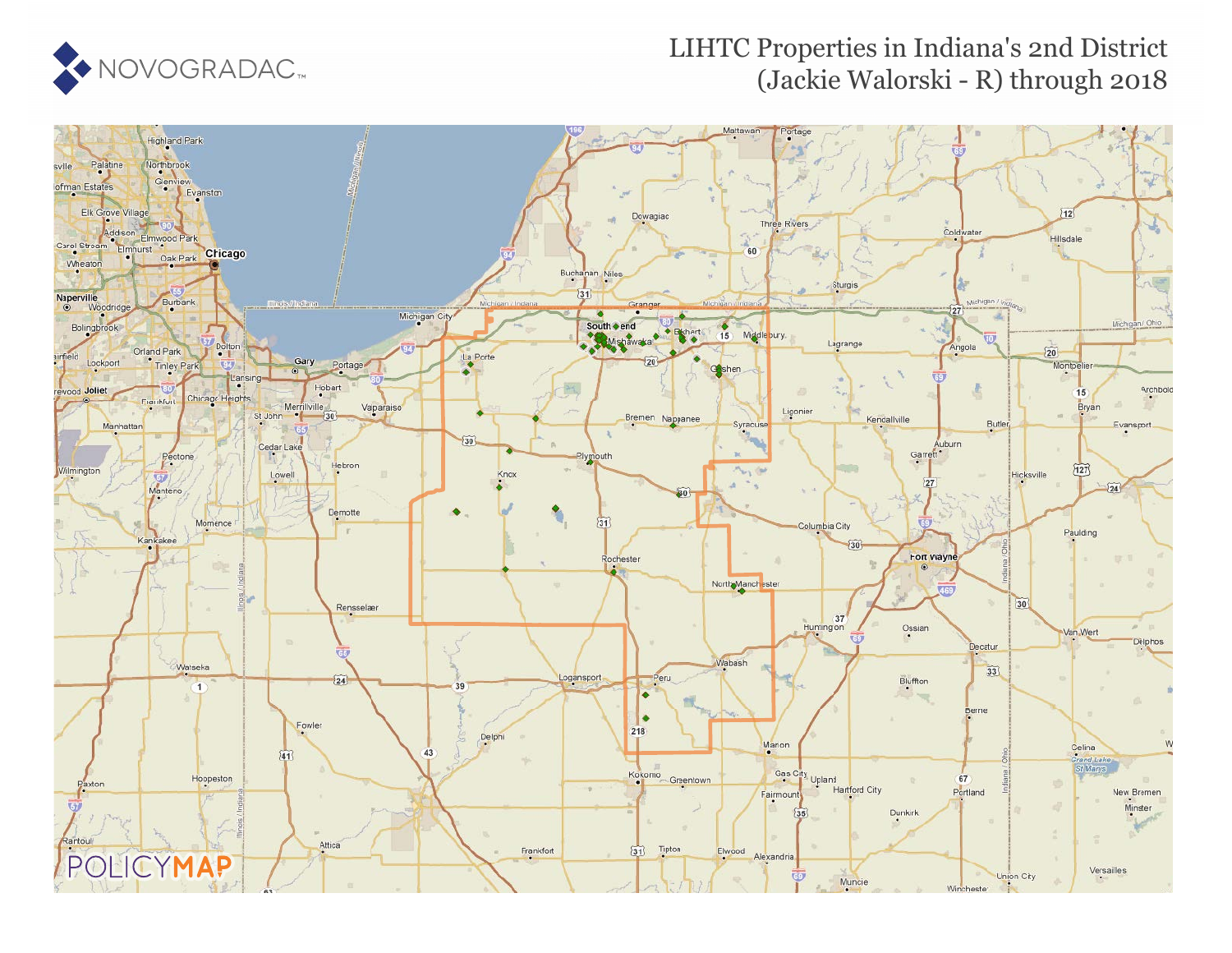

## LIHTC Properties in Indiana's 2nd District (Jackie Walorski - R) through 2018

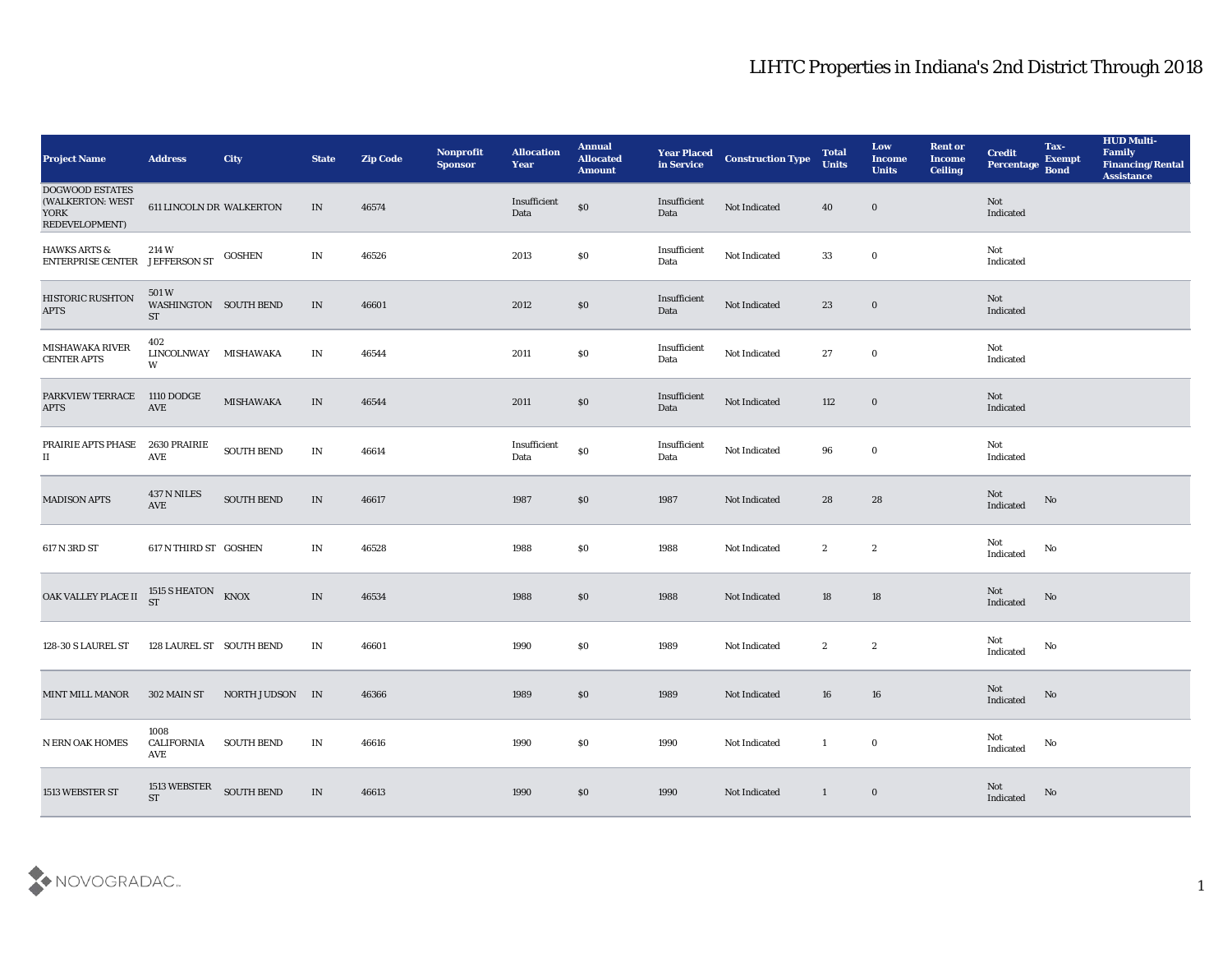| <b>Project Name</b>                                                         | <b>Address</b>                                            | City              | <b>State</b>                    | <b>Zip Code</b> | Nonprofit<br><b>Sponsor</b> | <b>Allocation</b><br><b>Year</b> | <b>Annual</b><br>Allocated<br><b>Amount</b> | <b>Year Placed<br/>in Service</b> | <b>Construction Type</b> | <b>Total</b><br><b>Units</b> | Low<br><b>Income</b><br><b>Units</b> | <b>Rent or</b><br><b>Income</b><br><b>Ceiling</b> | <b>Credit</b><br>Percentage       | Tax-<br><b>Exempt</b><br><b>Bond</b> | <b>HUD Multi-</b><br>Family<br><b>Financing/Rental</b><br><b>Assistance</b> |
|-----------------------------------------------------------------------------|-----------------------------------------------------------|-------------------|---------------------------------|-----------------|-----------------------------|----------------------------------|---------------------------------------------|-----------------------------------|--------------------------|------------------------------|--------------------------------------|---------------------------------------------------|-----------------------------------|--------------------------------------|-----------------------------------------------------------------------------|
| <b>DOGWOOD ESTATES</b><br>(WALKERTON: WEST<br><b>YORK</b><br>REDEVELOPMENT) | <b>611 LINCOLN DR WALKERTON</b>                           |                   | IN                              | 46574           |                             | Insufficient<br>Data             | $\$0$                                       | Insufficient<br>Data              | Not Indicated            | 40                           | $\bf{0}$                             |                                                   | Not<br>Indicated                  |                                      |                                                                             |
| <b>HAWKS ARTS &amp;</b><br>ENTERPRISE CENTER JEFFERSON ST                   | $214~\mathrm{W}$                                          | GOSHEN            | IN                              | 46526           |                             | 2013                             | $\$0$                                       | Insufficient<br>Data              | Not Indicated            | 33                           | $\bf{0}$                             |                                                   | Not<br>Indicated                  |                                      |                                                                             |
| HISTORIC RUSHTON<br><b>APTS</b>                                             | 501 W<br>WASHINGTON SOUTH BEND<br><b>ST</b>               |                   | IN                              | 46601           |                             | 2012                             | \$0                                         | Insufficient<br>Data              | Not Indicated            | 23                           | $\bf{0}$                             |                                                   | <b>Not</b><br>Indicated           |                                      |                                                                             |
| MISHAWAKA RIVER<br>CENTER APTS                                              | 402<br>LINCOLNWAY MISHAWAKA<br>W                          |                   | $\ensuremath{\text{IN}}$        | 46544           |                             | 2011                             | $\$0$                                       | Insufficient<br>Data              | Not Indicated            | 27                           | $\bf{0}$                             |                                                   | Not<br>Indicated                  |                                      |                                                                             |
| PARKVIEW TERRACE<br><b>APTS</b>                                             | 1110 DODGE<br>AVE                                         | <b>MISHAWAKA</b>  | IN                              | 46544           |                             | 2011                             | \$0                                         | Insufficient<br>Data              | Not Indicated            | 112                          | $\bf{0}$                             |                                                   | Not<br>Indicated                  |                                      |                                                                             |
| PRAIRIE APTS PHASE<br>П                                                     | 2630 PRAIRIE<br>AVE                                       | SOUTH BEND        | IN                              | 46614           |                             | Insufficient<br>Data             | $\$0$                                       | Insufficient<br>Data              | Not Indicated            | 96                           | $\bf{0}$                             |                                                   | Not<br>Indicated                  |                                      |                                                                             |
| <b>MADISON APTS</b>                                                         | $437\,\mathrm{N}\,\mathrm{NILES}$<br>$\operatorname{AVE}$ | <b>SOUTH BEND</b> | $\ensuremath{\text{IN}}$        | 46617           |                             | 1987                             | \$0                                         | 1987                              | Not Indicated            | 28                           | 28                                   |                                                   | Not<br>Indicated                  | No                                   |                                                                             |
| 617 N 3RD ST                                                                | 617 N THIRD ST GOSHEN                                     |                   | IN                              | 46528           |                             | 1988                             | \$0                                         | 1988                              | Not Indicated            | $\mathbf{2}$                 | $\mathbf{2}$                         |                                                   | Not<br>Indicated                  | No                                   |                                                                             |
| OAK VALLEY PLACE II                                                         | 1515 S HEATON KNOX<br><b>ST</b>                           |                   | IN                              | 46534           |                             | 1988                             | \$0                                         | 1988                              | Not Indicated            | 18                           | 18                                   |                                                   | Not<br>Indicated                  | No                                   |                                                                             |
| 128-30 S LAUREL ST                                                          | 128 LAUREL ST SOUTH BEND                                  |                   | IN                              | 46601           |                             | 1990                             | \$0                                         | 1989                              | Not Indicated            | $\boldsymbol{2}$             | $\boldsymbol{2}$                     |                                                   | Not<br>$\operatorname{Indicated}$ | No                                   |                                                                             |
| <b>MINT MILL MANOR</b>                                                      | 302 MAIN ST                                               | NORTH JUDSON IN   |                                 | 46366           |                             | 1989                             | \$0                                         | 1989                              | Not Indicated            | 16                           | 16                                   |                                                   | Not<br>Indicated                  | No                                   |                                                                             |
| <b>N ERN OAK HOMES</b>                                                      | 1008<br>CALIFORNIA<br>AVE                                 | <b>SOUTH BEND</b> | $\ensuremath{\text{IN}}\xspace$ | 46616           |                             | 1990                             | \$0                                         | 1990                              | Not Indicated            | $\mathbf{1}$                 | $\bf{0}$                             |                                                   | Not<br>Indicated                  | $\mathbf{N}\mathbf{o}$               |                                                                             |
| 1513 WEBSTER ST                                                             | 1513 WEBSTER<br>ST                                        | <b>SOUTH BEND</b> | $\;$ IN                         | 46613           |                             | 1990                             | $\$0$                                       | 1990                              | Not Indicated            | $\mathbf{1}$                 | $\bf{0}$                             |                                                   | Not<br>Indicated                  | $\mathbf{N}\mathbf{o}$               |                                                                             |

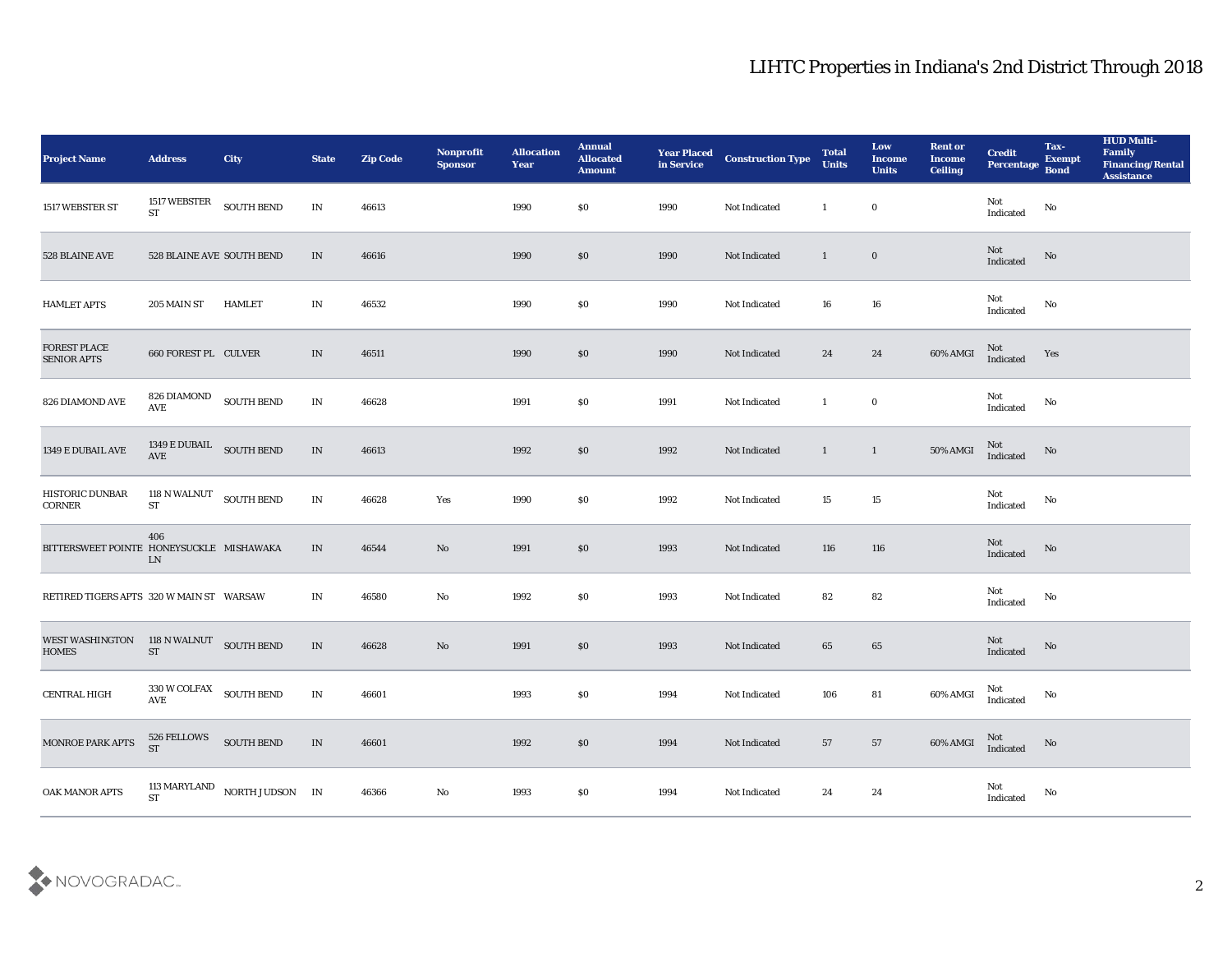| <b>Project Name</b>                      | <b>Address</b>                                                          | City                            | <b>State</b>                      | <b>Zip Code</b> | Nonprofit<br><b>Sponsor</b> | <b>Allocation</b><br>Year | <b>Annual</b><br><b>Allocated</b><br><b>Amount</b> | <b>Year Placed</b><br>in Service | <b>Construction Type</b> | <b>Total</b><br><b>Units</b> | Low<br>Income<br><b>Units</b> | <b>Rent or</b><br><b>Income</b><br><b>Ceiling</b>                                             | <b>Credit</b><br>Percentage Bond | Tax-<br><b>Exempt</b> | <b>HUD Multi-</b><br>Family<br><b>Financing/Rental</b><br><b>Assistance</b> |
|------------------------------------------|-------------------------------------------------------------------------|---------------------------------|-----------------------------------|-----------------|-----------------------------|---------------------------|----------------------------------------------------|----------------------------------|--------------------------|------------------------------|-------------------------------|-----------------------------------------------------------------------------------------------|----------------------------------|-----------------------|-----------------------------------------------------------------------------|
| 1517 WEBSTER ST                          | 1517 WEBSTER<br><b>ST</b>                                               | <b>SOUTH BEND</b>               | $\mathbf{IN}$                     | 46613           |                             | 1990                      | $\$0$                                              | 1990                             | Not Indicated            | $\mathbf{1}$                 | $\bf{0}$                      |                                                                                               | Not<br>Indicated                 | No                    |                                                                             |
| 528 BLAINE AVE                           | 528 BLAINE AVE SOUTH BEND                                               |                                 | IN                                | 46616           |                             | 1990                      | $\$0$                                              | 1990                             | Not Indicated            | $\mathbf{1}$                 | $\bf{0}$                      |                                                                                               | Not<br>Indicated                 | No                    |                                                                             |
| <b>HAMLET APTS</b>                       | 205 MAIN ST                                                             | HAMLET                          | IN                                | 46532           |                             | 1990                      | \$0                                                | 1990                             | Not Indicated            | 16                           | 16                            |                                                                                               | Not<br>Indicated                 | No                    |                                                                             |
| FOREST PLACE<br><b>SENIOR APTS</b>       | 660 FOREST PL CULVER                                                    |                                 | IN                                | 46511           |                             | 1990                      | \$0                                                | 1990                             | Not Indicated            | 24                           | 24                            | 60% AMGI                                                                                      | Not<br>Indicated                 | Yes                   |                                                                             |
| 826 DIAMOND AVE                          | 826 DIAMOND<br>AVE                                                      | <b>SOUTH BEND</b>               | IN                                | 46628           |                             | 1991                      | \$0                                                | 1991                             | Not Indicated            | $\mathbf{1}$                 | $\bf{0}$                      |                                                                                               | Not<br>Indicated                 | No                    |                                                                             |
| 1349 E DUBAIL AVE                        | $1349\,\mathrm{E}\,\mathrm{DUBAIL} \quad \mathrm{SOUTH}\,\mathrm{BEND}$ |                                 | IN                                | 46613           |                             | 1992                      | $\$0$                                              | 1992                             | Not Indicated            | $\mathbf{1}$                 | $\overline{1}$                | 50% AMGI                                                                                      | Not<br>Indicated                 | No                    |                                                                             |
| HISTORIC DUNBAR<br><b>CORNER</b>         | 118 N WALNUT SOUTH BEND<br><b>ST</b>                                    |                                 | IN                                | 46628           | Yes                         | 1990                      | $\$0$                                              | 1992                             | Not Indicated            | 15                           | 15                            |                                                                                               | Not<br>Indicated                 | No                    |                                                                             |
| BITTERSWEET POINTE HONEYSUCKLE MISHAWAKA | 406<br><b>LN</b>                                                        |                                 | IN                                | 46544           | $\rm\thinspace No$          | 1991                      | \$0                                                | 1993                             | Not Indicated            | 116                          | 116                           |                                                                                               | Not<br>Indicated                 | No                    |                                                                             |
| RETIRED TIGERS APTS 320 W MAIN ST WARSAW |                                                                         |                                 | IN                                | 46580           | No                          | 1992                      | \$0                                                | 1993                             | <b>Not Indicated</b>     | 82                           | 82                            |                                                                                               | Not<br>Indicated                 | No                    |                                                                             |
| <b>WEST WASHINGTON</b><br><b>HOMES</b>   | 118 N WALNUT SOUTH BEND<br>${\rm ST}$                                   |                                 | IN                                | 46628           | No                          | 1991                      | $\$0$                                              | 1993                             | Not Indicated            | 65                           | 65                            |                                                                                               | Not<br>Indicated                 | No                    |                                                                             |
| <b>CENTRAL HIGH</b>                      | 330 W COLFAX SOUTH BEND<br>AVE                                          |                                 | IN                                | 46601           |                             | 1993                      | \$0                                                | 1994                             | Not Indicated            | 106                          | 81                            | 60% AMGI                                                                                      | Not<br>Indicated                 | No                    |                                                                             |
| MONROE PARK APTS                         | 526 FELLOWS<br>ST SOUTH BEND                                            |                                 | $\ensuremath{\text{\textbf{IN}}}$ | 46601           |                             | 1992                      | $\$0$                                              | 1994                             | Not Indicated            | $57\,$                       | $57\,$                        | $60\% \, \mathrm{AMGI} \quad \begin{array}{c} \mathrm{Not} \\ \mathrm{Indicated} \end{array}$ |                                  | No                    |                                                                             |
| OAK MANOR APTS                           |                                                                         | 113 MARYLAND NORTH JUDSON IN ST |                                   | 46366           | ${\bf No}$                  | 1993                      | $\$0$                                              | 1994                             | Not Indicated            | 24                           | $\bf 24$                      |                                                                                               | Not<br>Indicated                 | $\mathbf {No}$        |                                                                             |

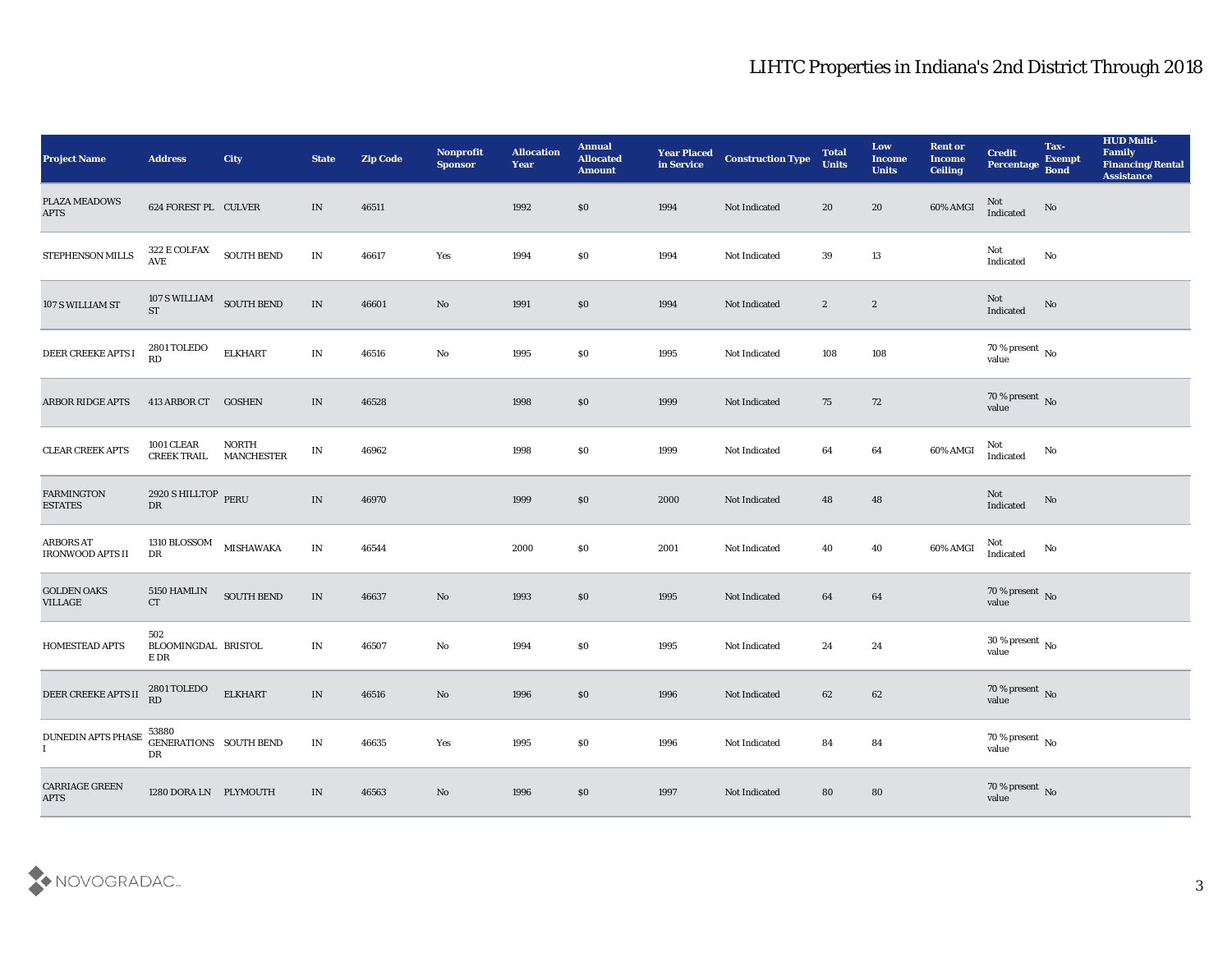| <b>Project Name</b>                         | <b>Address</b>                          | City                              | <b>State</b>                    | <b>Zip Code</b> | Nonprofit<br><b>Sponsor</b> | <b>Allocation</b><br><b>Year</b> | <b>Annual</b><br><b>Allocated</b><br><b>Amount</b> | <b>Year Placed</b><br>in Service | <b>Construction Type</b> | <b>Total</b><br><b>Units</b> | Low<br><b>Income</b><br><b>Units</b> | <b>Rent or</b><br><b>Income</b><br><b>Ceiling</b> | <b>Credit</b><br>Percentage Bond | Tax-<br><b>Exempt</b> | <b>HUD Multi-</b><br>Family<br><b>Financing/Rental</b><br><b>Assistance</b> |
|---------------------------------------------|-----------------------------------------|-----------------------------------|---------------------------------|-----------------|-----------------------------|----------------------------------|----------------------------------------------------|----------------------------------|--------------------------|------------------------------|--------------------------------------|---------------------------------------------------|----------------------------------|-----------------------|-----------------------------------------------------------------------------|
| PLAZA MEADOWS<br><b>APTS</b>                | 624 FOREST PL CULVER                    |                                   | IN                              | 46511           |                             | 1992                             | \$0                                                | 1994                             | Not Indicated            | 20                           | 20                                   | 60% AMGI                                          | Not<br>Indicated                 | No                    |                                                                             |
| STEPHENSON MILLS                            | 322 E COLFAX SOUTH BEND<br>AVE          |                                   | IN                              | 46617           | Yes                         | 1994                             | \$0                                                | 1994                             | Not Indicated            | 39                           | 13                                   |                                                   | Not<br>Indicated                 | No                    |                                                                             |
| 107 S WILLIAM ST                            | 107 S WILLIAM SOUTH BEND<br><b>ST</b>   |                                   | $\;$ IN                         | 46601           | $\mathbf{N}\mathbf{o}$      | 1991                             | $\$0$                                              | 1994                             | Not Indicated            | $\mathbf{2}$                 | $\boldsymbol{2}$                     |                                                   | Not<br>Indicated                 | No                    |                                                                             |
| DEER CREEKE APTS I                          | 2801 TOLEDO<br>RD                       | <b>ELKHART</b>                    | $\ensuremath{\text{IN}}\xspace$ | 46516           | $\mathbf{N}\mathbf{o}$      | 1995                             | \$0                                                | 1995                             | Not Indicated            | 108                          | 108                                  |                                                   | $70\,\%$ present $\,$ No value   |                       |                                                                             |
| ARBOR RIDGE APTS                            | 413 ARBOR CT                            | <b>GOSHEN</b>                     | IN                              | 46528           |                             | 1998                             | \$0                                                | 1999                             | Not Indicated            | 75                           | 72                                   |                                                   | $70\,\%$ present $\,$ No value   |                       |                                                                             |
| CLEAR CREEK APTS                            | <b>1001 CLEAR</b><br><b>CREEK TRAIL</b> | <b>NORTH</b><br><b>MANCHESTER</b> | IN                              | 46962           |                             | 1998                             | \$0                                                | 1999                             | Not Indicated            | 64                           | 64                                   | 60% AMGI                                          | Not<br>Indicated                 | No                    |                                                                             |
| <b>FARMINGTON</b><br><b>ESTATES</b>         | 2920 S HILLTOP PERU<br>DR               |                                   | $\ensuremath{\text{IN}}$        | 46970           |                             | 1999                             | $\$0$                                              | 2000                             | Not Indicated            | 48                           | 48                                   |                                                   | Not<br>Indicated                 | No                    |                                                                             |
| <b>ARBORS AT</b><br><b>IRONWOOD APTS II</b> | 1310 BLOSSOM<br>DR                      | <b>MISHAWAKA</b>                  | IN                              | 46544           |                             | 2000                             | \$0                                                | 2001                             | Not Indicated            | 40                           | 40                                   | 60% AMGI                                          | Not<br>Indicated                 | No                    |                                                                             |
| <b>GOLDEN OAKS</b><br><b>VILLAGE</b>        | 5150 HAMLIN<br><b>CT</b>                | SOUTH BEND                        | $\ensuremath{\text{IN}}$        | 46637           | $\rm\thinspace No$          | 1993                             | \$0                                                | 1995                             | Not Indicated            | 64                           | 64                                   |                                                   | $70\,\%$ present $\,$ No value   |                       |                                                                             |
| HOMESTEAD APTS                              | 502<br>BLOOMINGDAL BRISTOL<br>E DR      |                                   | $\ensuremath{\text{IN}}$        | 46507           | $\mathbf{N}\mathbf{o}$      | 1994                             | \$0                                                | 1995                             | Not Indicated            | 24                           | 24                                   |                                                   | $30\,\%$ present $\,$ No value   |                       |                                                                             |
| DEER CREEKE APTS II                         | 2801 TOLEDO<br>RD                       | <b>ELKHART</b>                    | IN                              | 46516           | No                          | 1996                             | \$0                                                | 1996                             | Not Indicated            | 62                           | 62                                   |                                                   | $70\,\%$ present $\,$ No value   |                       |                                                                             |
| <b>DUNEDIN APTS PHASE</b><br>$\mathbf{I}$   | 53880<br>GENERATIONS SOUTH BEND<br>DR   |                                   | $\ensuremath{\text{IN}}$        | 46635           | Yes                         | 1995                             | $\$0$                                              | 1996                             | Not Indicated            | ${\bf 84}$                   | ${\bf 84}$                           |                                                   | $70\,\%$ present $\,$ No value   |                       |                                                                             |
| CARRIAGE GREEN<br><b>APTS</b>               | 1280 DORA LN PLYMOUTH                   |                                   | IN                              | 46563           | $\mathbf{N}\mathbf{o}$      | 1996                             | \$0                                                | 1997                             | Not Indicated            | 80                           | ${\bf 80}$                           |                                                   | $70\,\%$ present $\,$ No value   |                       |                                                                             |

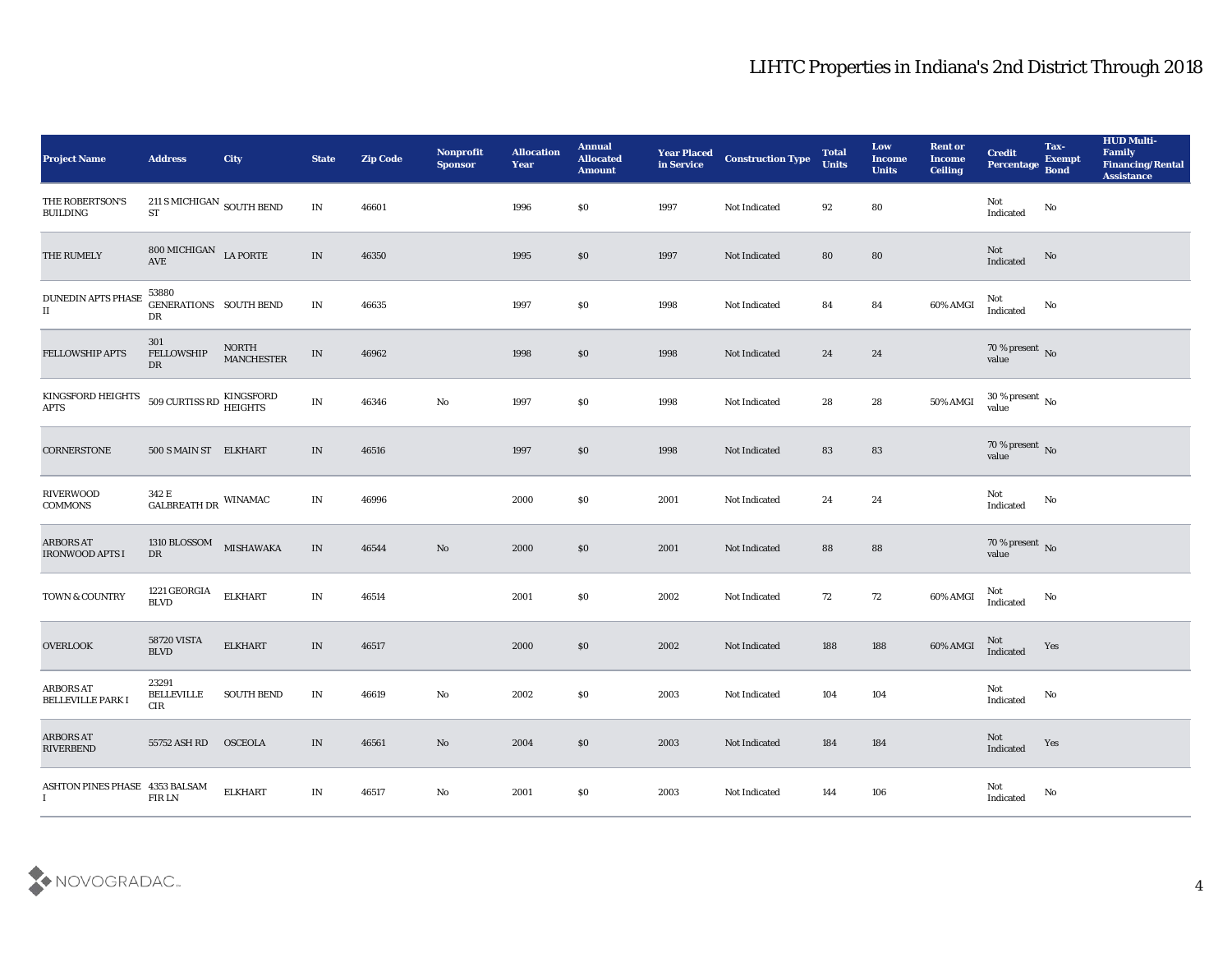| <b>Project Name</b>                           | <b>Address</b>                              | City                              | <b>State</b>             | <b>Zip Code</b> | Nonprofit<br><b>Sponsor</b> | <b>Allocation</b><br><b>Year</b> | <b>Annual</b><br><b>Allocated</b><br><b>Amount</b> | <b>Year Placed<br/>in Service</b> | <b>Construction Type</b> | <b>Total</b><br><b>Units</b> | Low<br><b>Income</b><br><b>Units</b> | <b>Rent or</b><br><b>Income</b><br><b>Ceiling</b> | <b>Credit</b><br>Percentage Bond                  | Tax-<br><b>Exempt</b>  | <b>HUD Multi-</b><br>Family<br><b>Financing/Rental</b><br>Assistance |
|-----------------------------------------------|---------------------------------------------|-----------------------------------|--------------------------|-----------------|-----------------------------|----------------------------------|----------------------------------------------------|-----------------------------------|--------------------------|------------------------------|--------------------------------------|---------------------------------------------------|---------------------------------------------------|------------------------|----------------------------------------------------------------------|
| THE ROBERTSON'S<br><b>BUILDING</b>            | $211$ S MICHIGAN $_{\rm SOUTH\ BEND}$<br>ST |                                   | $\mathbf{IN}$            | 46601           |                             | 1996                             | $\$0$                                              | 1997                              | Not Indicated            | 92                           | 80                                   |                                                   | Not<br>Indicated                                  | No                     |                                                                      |
| THE RUMELY                                    | 800 MICHIGAN LA PORTE<br>AVE                |                                   | IN                       | 46350           |                             | 1995                             | \$0                                                | 1997                              | Not Indicated            | 80                           | ${\bf 80}$                           |                                                   | Not<br>Indicated                                  | No                     |                                                                      |
| DUNEDIN APTS PHASE<br>$\rm II$                | 53880<br>GENERATIONS SOUTH BEND<br>DR       |                                   | $\ensuremath{\text{IN}}$ | 46635           |                             | 1997                             | \$0                                                | 1998                              | Not Indicated            | 84                           | 84                                   | 60% AMGI                                          | Not<br>Indicated                                  | No                     |                                                                      |
| <b>FELLOWSHIP APTS</b>                        | 301<br><b>FELLOWSHIP</b><br>DR              | <b>NORTH</b><br><b>MANCHESTER</b> | $\ensuremath{\text{IN}}$ | 46962           |                             | 1998                             | \$0                                                | 1998                              | Not Indicated            | 24                           | 24                                   |                                                   | $70\,\%$ present $\,$ No value                    |                        |                                                                      |
| KINGSFORD HEIGHTS<br><b>APTS</b>              | 509 CURTISS RD KINGSFORD<br>HEIGHTS         |                                   | $\ensuremath{\text{IN}}$ | 46346           | $\mathbf {No}$              | 1997                             | \$0                                                | 1998                              | Not Indicated            | 28                           | 28                                   | 50% AMGI                                          | $30\,\%$ present $\,$ No value                    |                        |                                                                      |
| CORNERSTONE                                   | 500 S MAIN ST ELKHART                       |                                   | IN                       | 46516           |                             | 1997                             | \$0                                                | 1998                              | Not Indicated            | 83                           | 83                                   |                                                   | $70\,\%$ present $\,$ No value                    |                        |                                                                      |
| <b>RIVERWOOD</b><br>COMMONS                   | $342$ E $$\tt GALBREATH\,DR$$ WINAMAC       |                                   | IN                       | 46996           |                             | 2000                             | \$0                                                | 2001                              | Not Indicated            | 24                           | 24                                   |                                                   | Not<br>Indicated                                  | No                     |                                                                      |
| <b>ARBORS AT</b><br><b>IRONWOOD APTS I</b>    | 1310 BLOSSOM<br>DR                          | <b>MISHAWAKA</b>                  | $\ensuremath{\text{IN}}$ | 46544           | $\mathbf{N}\mathbf{o}$      | 2000                             | \$0                                                | 2001                              | Not Indicated            | 88                           | 88                                   |                                                   | $70\,\%$ present $\,$ No value                    |                        |                                                                      |
| TOWN & COUNTRY                                | 1221 GEORGIA<br><b>BLVD</b>                 | <b>ELKHART</b>                    | $\ensuremath{\text{IN}}$ | 46514           |                             | 2001                             | $\$0$                                              | 2002                              | Not Indicated            | 72                           | $72\,$                               | 60% AMGI                                          | Not<br>$\label{lem:indicated} \textbf{Indicated}$ | No                     |                                                                      |
| <b>OVERLOOK</b>                               | <b>58720 VISTA</b><br><b>BLVD</b>           | <b>ELKHART</b>                    | IN                       | 46517           |                             | 2000                             | \$0                                                | 2002                              | Not Indicated            | 188                          | 188                                  | 60% AMGI                                          | Not<br>Indicated                                  | Yes                    |                                                                      |
| <b>ARBORS AT</b><br><b>BELLEVILLE PARK I</b>  | 23291<br>BELLEVILLE<br>CIR                  | <b>SOUTH BEND</b>                 | IN                       | 46619           | $\mathbf{N}\mathbf{o}$      | 2002                             | \$0                                                | 2003                              | Not Indicated            | 104                          | 104                                  |                                                   | Not<br>Indicated                                  | No                     |                                                                      |
| <b>ARBORS AT</b><br><b>RIVERBEND</b>          | 55752 ASH RD                                | <b>OSCEOLA</b>                    | $\ensuremath{\text{IN}}$ | 46561           | $\rm\thinspace No$          | 2004                             | $\$0$                                              | 2003                              | Not Indicated            | 184                          | 184                                  |                                                   | Not<br>Indicated                                  | Yes                    |                                                                      |
| ASHTON PINES PHASE 4353 BALSAM<br>$\mathbf I$ | FIR LN                                      | <b>ELKHART</b>                    | $\mathbf{IN}$            | 46517           | $\mathbf {No}$              | 2001                             | $\$0$                                              | 2003                              | Not Indicated            | $\bf 144$                    | 106                                  |                                                   | Not<br>Indicated                                  | $\mathbf{N}\mathbf{o}$ |                                                                      |

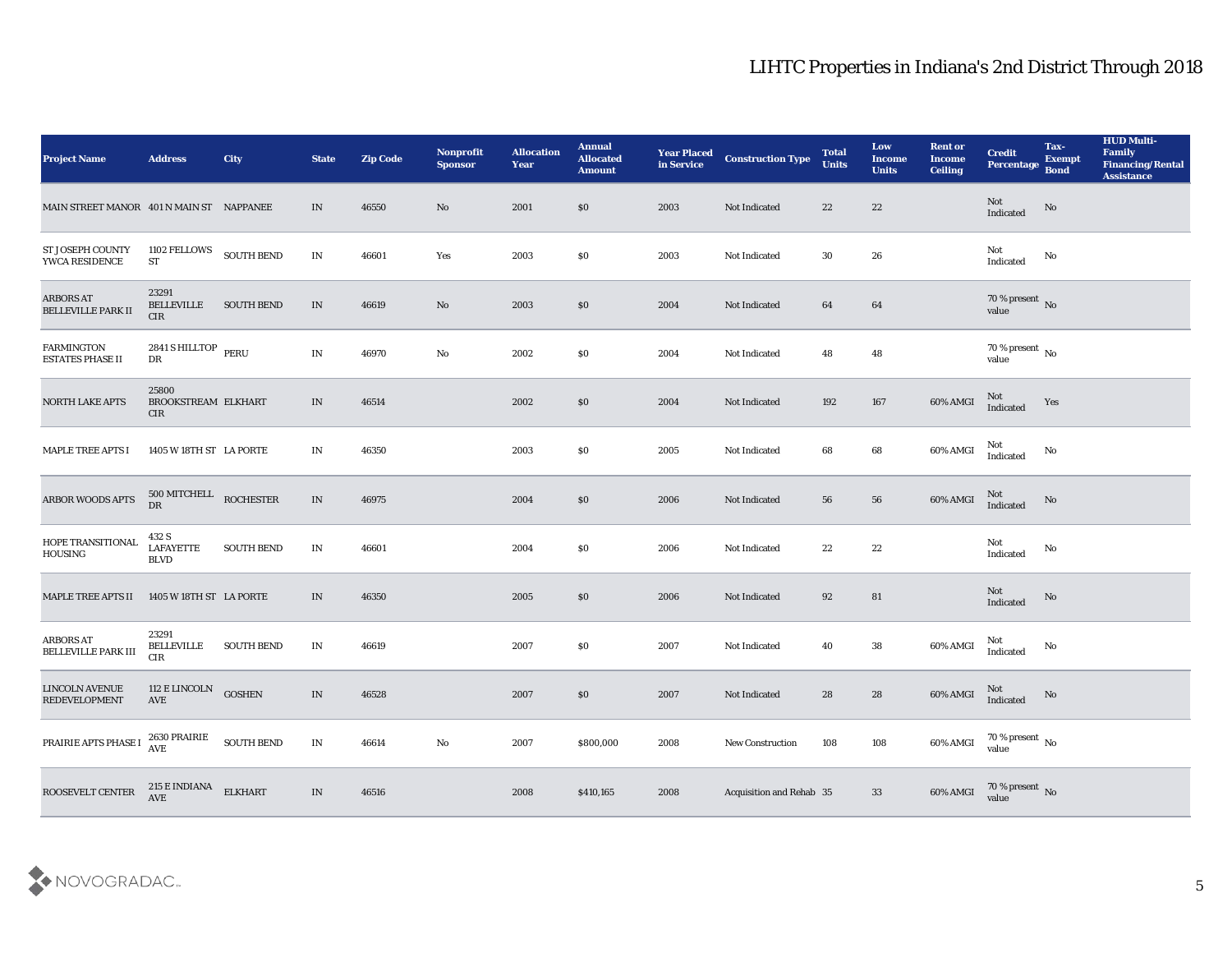| <b>Project Name</b>                            | <b>Address</b>                             | City              | <b>State</b>                    | <b>Zip Code</b> | Nonprofit<br><b>Sponsor</b> | <b>Allocation</b><br><b>Year</b> | <b>Annual</b><br><b>Allocated</b><br><b>Amount</b> | <b>Year Placed</b><br>in Service | <b>Construction Type</b> | <b>Total</b><br><b>Units</b> | Low<br><b>Income</b><br><b>Units</b> | <b>Rent or</b><br><b>Income</b><br><b>Ceiling</b> | <b>Credit</b><br><b>Percentage</b> | Tax-<br><b>Exempt</b><br><b>Bond</b> | <b>HUD Multi-</b><br>Family<br><b>Financing/Rental</b><br><b>Assistance</b> |
|------------------------------------------------|--------------------------------------------|-------------------|---------------------------------|-----------------|-----------------------------|----------------------------------|----------------------------------------------------|----------------------------------|--------------------------|------------------------------|--------------------------------------|---------------------------------------------------|------------------------------------|--------------------------------------|-----------------------------------------------------------------------------|
| MAIN STREET MANOR 401 N MAIN ST NAPPANEE       |                                            |                   | IN                              | 46550           | No                          | 2001                             | $\$0$                                              | 2003                             | Not Indicated            | 22                           | 22                                   |                                                   | Not<br>Indicated                   | No                                   |                                                                             |
| ST JOSEPH COUNTY<br>YWCA RESIDENCE             | 1102 FELLOWS<br>ST                         | <b>SOUTH BEND</b> | IN                              | 46601           | Yes                         | 2003                             | \$0                                                | 2003                             | Not Indicated            | 30                           | 26                                   |                                                   | Not<br>Indicated                   | No                                   |                                                                             |
| <b>ARBORS AT</b><br><b>BELLEVILLE PARK II</b>  | 23291<br><b>BELLEVILLE</b><br>CIR          | <b>SOUTH BEND</b> | $\ensuremath{\text{IN}}$        | 46619           | No                          | 2003                             | \$0                                                | 2004                             | Not Indicated            | 64                           | 64                                   |                                                   | $70\,\%$ present $\,$ No value     |                                      |                                                                             |
| <b>FARMINGTON</b><br><b>ESTATES PHASE II</b>   | 2841 S HILLTOP PERU<br>${\rm DR}$          |                   | $\ensuremath{\text{IN}}$        | 46970           | $\rm\thinspace No$          | 2002                             | \$0                                                | 2004                             | <b>Not Indicated</b>     | 48                           | 48                                   |                                                   | $70\,\%$ present $\,$ No value     |                                      |                                                                             |
| <b>NORTH LAKE APTS</b>                         | 25800<br>BROOKSTREAM ELKHART<br><b>CIR</b> |                   | IN                              | 46514           |                             | 2002                             | \$0                                                | 2004                             | Not Indicated            | 192                          | 167                                  | 60% AMGI                                          | $\rm Not$ Indicated                | Yes                                  |                                                                             |
| <b>MAPLE TREE APTS I</b>                       | 1405 W 18TH ST LA PORTE                    |                   | IN                              | 46350           |                             | 2003                             | \$0                                                | 2005                             | Not Indicated            | 68                           | 68                                   | 60% AMGI                                          | Not<br>Indicated                   | No                                   |                                                                             |
| ARBOR WOODS APTS                               | $500$ MITCHELL ROCHESTER DR                |                   | $\ensuremath{\text{IN}}$        | 46975           |                             | 2004                             | \$0                                                | 2006                             | Not Indicated            | 56                           | 56                                   | 60% AMGI                                          | Not<br>Indicated                   | No                                   |                                                                             |
| HOPE TRANSITIONAL<br>HOUSING                   | 432 S<br><b>LAFAYETTE</b><br><b>BLVD</b>   | <b>SOUTH BEND</b> | IN                              | 46601           |                             | 2004                             | \$0                                                | 2006                             | Not Indicated            | 22                           | 22                                   |                                                   | Not<br>Indicated                   | No                                   |                                                                             |
| <b>MAPLE TREE APTS II</b>                      | 1405 W 18TH ST LA PORTE                    |                   | IN                              | 46350           |                             | 2005                             | \$0                                                | 2006                             | Not Indicated            | 92                           | 81                                   |                                                   | Not<br>Indicated                   | No                                   |                                                                             |
| <b>ARBORS AT</b><br><b>BELLEVILLE PARK III</b> | 23291<br><b>BELLEVILLE</b><br>CIR          | <b>SOUTH BEND</b> | IN                              | 46619           |                             | 2007                             | \$0                                                | 2007                             | <b>Not Indicated</b>     | 40                           | 38                                   | 60% AMGI                                          | Not<br>Indicated                   | No                                   |                                                                             |
| <b>LINCOLN AVENUE</b><br><b>REDEVELOPMENT</b>  | 112 E LINCOLN<br>AVE                       | <b>GOSHEN</b>     | IN                              | 46528           |                             | 2007                             | \$0                                                | 2007                             | Not Indicated            | 28                           | 28                                   | 60% AMGI                                          | Not<br>Indicated                   | No                                   |                                                                             |
| PRAIRIE APTS PHASE I                           | 2630 PRAIRIE<br>AVE                        | <b>SOUTH BEND</b> | $\mathbf{IN}$                   | 46614           | $\mathbf {No}$              | 2007                             | \$800,000                                          | 2008                             | New Construction         | 108                          | 108                                  | 60% AMGI                                          | $70\,\%$ present $\,$ No value     |                                      |                                                                             |
| ROOSEVELT CENTER                               | $215\to$ INDIANA<br>$\operatorname{AVE}$   | <b>ELKHART</b>    | $\ensuremath{\text{IN}}\xspace$ | 46516           |                             | 2008                             | \$410,165                                          | 2008                             | Acquisition and Rehab 35 |                              | 33                                   | 60% AMGI                                          | $70\,\%$ present $\,$ No value     |                                      |                                                                             |

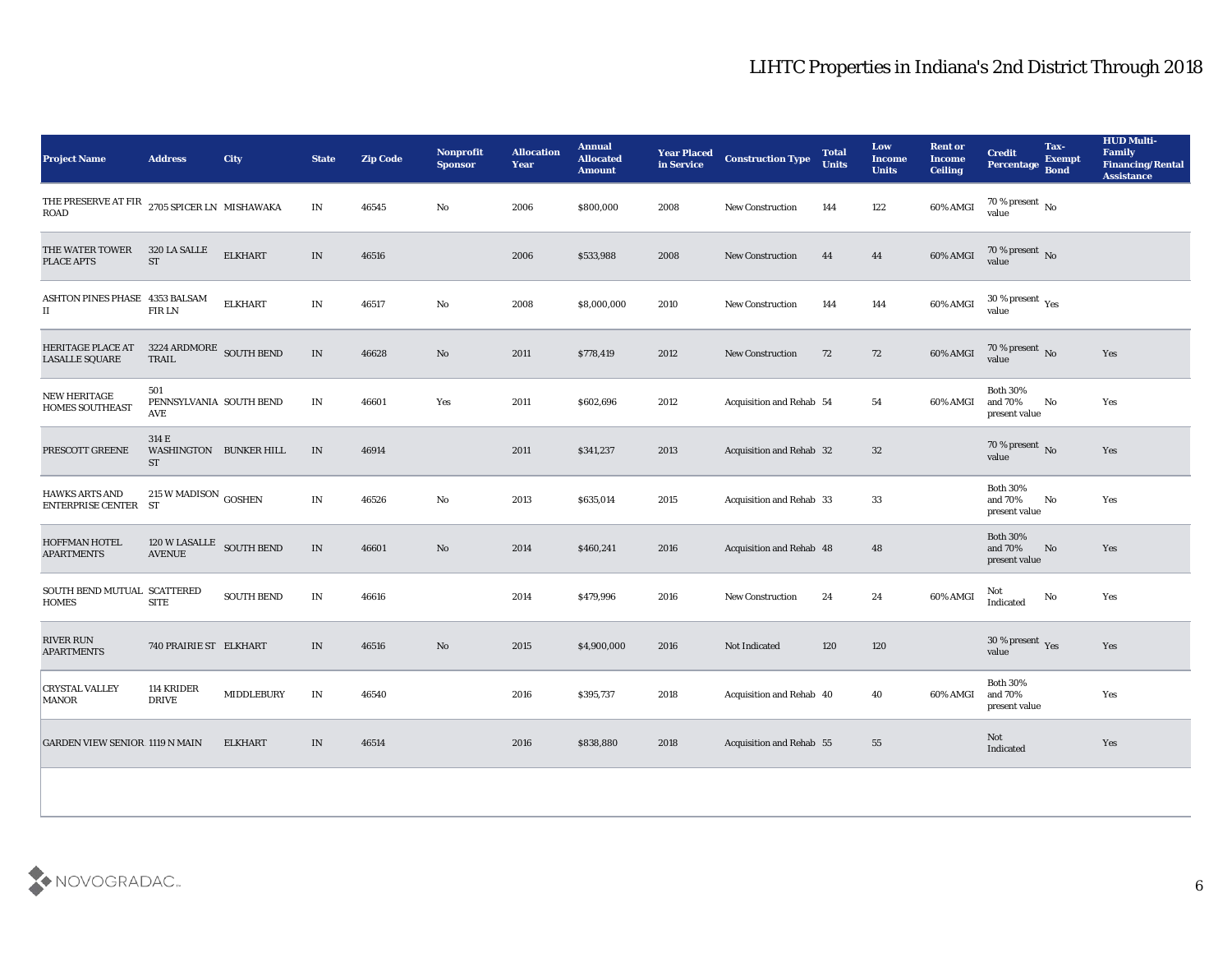| <b>Project Name</b>                                                   | <b>Address</b>                            | City              | <b>State</b>             | <b>Zip Code</b> | <b>Nonprofit</b><br><b>Sponsor</b> | <b>Allocation</b><br><b>Year</b> | <b>Annual</b><br><b>Allocated</b><br><b>Amount</b> | <b>Year Placed</b><br>in Service | <b>Construction Type</b>        | <b>Total</b><br><b>Units</b> | Low<br><b>Income</b><br><b>Units</b> | <b>Rent or</b><br><b>Income</b><br><b>Ceiling</b> | <b>Credit</b><br><b>Percentage</b>          | Tax-<br><b>Exempt</b><br><b>Bond</b> | <b>HUD Multi-</b><br>Family<br><b>Financing/Rental</b><br><b>Assistance</b> |
|-----------------------------------------------------------------------|-------------------------------------------|-------------------|--------------------------|-----------------|------------------------------------|----------------------------------|----------------------------------------------------|----------------------------------|---------------------------------|------------------------------|--------------------------------------|---------------------------------------------------|---------------------------------------------|--------------------------------------|-----------------------------------------------------------------------------|
| THE PRESERVE AT FIR $\,$ 2705 SPICER LN $\,$ MISHAWAKA<br><b>ROAD</b> |                                           |                   | $\mathbf{IN}$            | 46545           | No                                 | 2006                             | \$800,000                                          | 2008                             | <b>New Construction</b>         | 144                          | 122                                  | 60% AMGI                                          | 70 % present $\,$ No $\,$<br>value          |                                      |                                                                             |
| THE WATER TOWER<br><b>PLACE APTS</b>                                  | 320 LA SALLE<br><b>ST</b>                 | <b>ELKHART</b>    | $\ensuremath{\text{IN}}$ | 46516           |                                    | 2006                             | \$533,988                                          | 2008                             | <b>New Construction</b>         | 44                           | 44                                   | 60% AMGI                                          | 70 % present No<br>value                    |                                      |                                                                             |
| ASHTON PINES PHASE 4353 BALSAM<br>$\scriptstyle\rm II$                | <b>FIRLN</b>                              | <b>ELKHART</b>    | $\ensuremath{\text{IN}}$ | 46517           | No                                 | 2008                             | \$8,000,000                                        | 2010                             | New Construction                | 144                          | 144                                  | 60% AMGI                                          | $30\,\%$ present $\,\mathrm{Yes}$ value     |                                      |                                                                             |
| HERITAGE PLACE AT<br><b>LASALLE SQUARE</b>                            | 3224 ARDMORE SOUTH BEND<br>TRAIL          |                   | $\ensuremath{\text{IN}}$ | 46628           | No                                 | 2011                             | \$778,419                                          | 2012                             | <b>New Construction</b>         | 72                           | 72                                   | 60% AMGI                                          | $70\,\%$ present $\,$ No value              |                                      | Yes                                                                         |
| <b>NEW HERITAGE</b><br><b>HOMES SOUTHEAST</b>                         | 501<br>PENNSYLVANIA SOUTH BEND<br>AVE     |                   | $\mathbf{IN}$            | 46601           | Yes                                | 2011                             | \$602,696                                          | 2012                             | Acquisition and Rehab 54        |                              | 54                                   | 60% AMGI                                          | <b>Both 30%</b><br>and 70%<br>present value | No                                   | Yes                                                                         |
| PRESCOTT GREENE                                                       | 314 E<br>WASHINGTON BUNKER HILL<br>ST     |                   | IN                       | 46914           |                                    | 2011                             | \$341,237                                          | 2013                             | <b>Acquisition and Rehab 32</b> |                              | 32                                   |                                                   | 70 % present $\overline{N_0}$<br>value      |                                      | Yes                                                                         |
| <b>HAWKS ARTS AND</b><br>ENTERPRISE CENTER ST                         | 215 W MADISON GOSHEN                      |                   | $\ensuremath{\text{IN}}$ | 46526           | No                                 | 2013                             | \$635,014                                          | 2015                             | Acquisition and Rehab 33        |                              | 33                                   |                                                   | <b>Both 30%</b><br>and 70%<br>present value | No                                   | Yes                                                                         |
| <b>HOFFMAN HOTEL</b><br><b>APARTMENTS</b>                             | 120 W LASALLE SOUTH BEND<br><b>AVENUE</b> |                   | $\ensuremath{\text{IN}}$ | 46601           | No                                 | 2014                             | \$460,241                                          | 2016                             | Acquisition and Rehab 48        |                              | 48                                   |                                                   | <b>Both 30%</b><br>and 70%<br>present value | No                                   | Yes                                                                         |
| SOUTH BEND MUTUAL SCATTERED<br><b>HOMES</b>                           | <b>SITE</b>                               | <b>SOUTH BEND</b> | $\ensuremath{\text{IN}}$ | 46616           |                                    | 2014                             | \$479,996                                          | 2016                             | <b>New Construction</b>         | 24                           | 24                                   | 60% AMGI                                          | Not<br>Indicated                            | No                                   | Yes                                                                         |
| <b>RIVER RUN</b><br><b>APARTMENTS</b>                                 | 740 PRAIRIE ST ELKHART                    |                   | IN                       | 46516           | No                                 | 2015                             | \$4,900,000                                        | 2016                             | Not Indicated                   | 120                          | 120                                  |                                                   | 30 % present Yes<br>value                   |                                      | Yes                                                                         |
| <b>CRYSTAL VALLEY</b><br><b>MANOR</b>                                 | 114 KRIDER<br><b>DRIVE</b>                | <b>MIDDLEBURY</b> | $\ensuremath{\text{IN}}$ | 46540           |                                    | 2016                             | \$395,737                                          | 2018                             | Acquisition and Rehab 40        |                              | 40                                   | 60% AMGI                                          | <b>Both 30%</b><br>and 70%<br>present value |                                      | Yes                                                                         |
| <b>GARDEN VIEW SENIOR 1119 N MAIN</b>                                 |                                           | <b>ELKHART</b>    | $\ensuremath{\text{IN}}$ | 46514           |                                    | 2016                             | \$838,880                                          | 2018                             | Acquisition and Rehab 55        |                              | 55                                   |                                                   | Not<br>Indicated                            |                                      | Yes                                                                         |
|                                                                       |                                           |                   |                          |                 |                                    |                                  |                                                    |                                  |                                 |                              |                                      |                                                   |                                             |                                      |                                                                             |